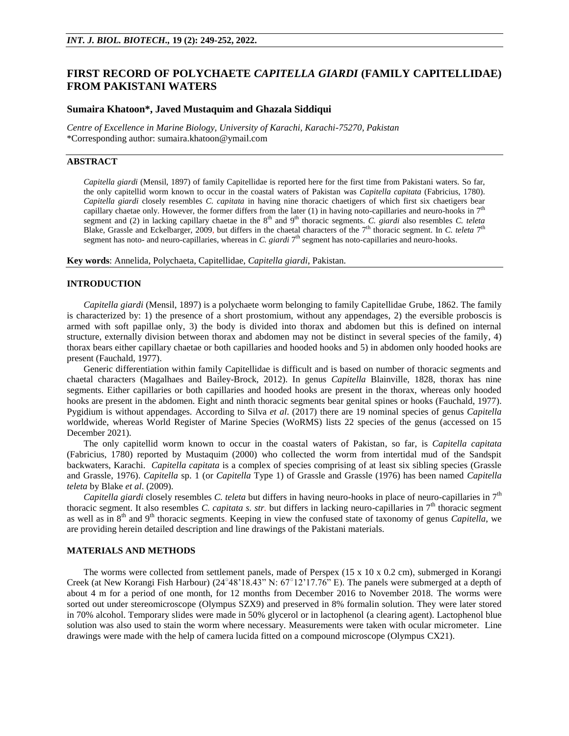# **FIRST RECORD OF POLYCHAETE** *CAPITELLA GIARDI* **(FAMILY CAPITELLIDAE) FROM PAKISTANI WATERS**

### **Sumaira Khatoon\*, Javed Mustaquim and Ghazala Siddiqui**

*Centre of Excellence in Marine Biology, University of Karachi, Karachi-75270, Pakistan* \*Corresponding author: [sumaira.khatoon@ymail.com](mailto:sumaira.khatoon@ymail.com)

## **ABSTRACT**

*Capitella giardi* (Mensil, 1897) of family Capitellidae is reported here for the first time from Pakistani waters. So far, the only capitellid worm known to occur in the coastal waters of Pakistan was *Capitella capitata* (Fabricius, 1780). *Capitella giardi* closely resembles *C. capitata* in having nine thoracic chaetigers of which first six chaetigers bear capillary chaetae only. However, the former differs from the later  $(1)$  in having noto-capillaries and neuro-hooks in  $7<sup>th</sup>$ segment and (2) in lacking capillary chaetae in the 8<sup>th</sup> and 9<sup>th</sup> thoracic segments. *C. giardi* also resembles *C. teleta* Blake, Grassle and Eckelbarger, 2009, but differs in the chaetal characters of the  $7<sup>th</sup>$  thoracic segment. In *C. teleta*  $7<sup>th</sup>$ segment has noto- and neuro-capillaries, whereas in *C. giardi* 7<sup>th</sup> segment has noto-capillaries and neuro-hooks.

**Key words**: Annelida, Polychaeta, Capitellidae, *Capitella giardi*, Pakistan.

#### **INTRODUCTION**

*Capitella giardi* (Mensil, 1897) is a polychaete worm belonging to family Capitellidae Grube, 1862. The family is characterized by: 1) the presence of a short prostomium, without any appendages, 2) the eversible proboscis is armed with soft papillae only, 3) the body is divided into thorax and abdomen but this is defined on internal structure, externally division between thorax and abdomen may not be distinct in several species of the family, 4) thorax bears either capillary chaetae or both capillaries and hooded hooks and 5) in abdomen only hooded hooks are present (Fauchald, 1977).

Generic differentiation within family Capitellidae is difficult and is based on number of thoracic segments and chaetal characters (Magalhaes and Bailey-Brock, 2012). In genus *Capitella* Blainville, 1828, thorax has nine segments. Either capillaries or both capillaries and hooded hooks are present in the thorax, whereas only hooded hooks are present in the abdomen. Eight and ninth thoracic segments bear genital spines or hooks (Fauchald, 1977). Pygidium is without appendages. According to Silva *et al*. (2017) there are 19 nominal species of genus *Capitella* worldwide, whereas World Register of Marine Species (WoRMS) lists 22 species of the genus (accessed on 15 December 2021).

The only capitellid worm known to occur in the coastal waters of Pakistan, so far, is *Capitella capitata* (Fabricius, 1780) reported by Mustaquim (2000) who collected the worm from intertidal mud of the Sandspit backwaters, Karachi. *Capitella capitata* is a complex of species comprising of at least six sibling species (Grassle and Grassle, 1976). *Capitella* sp. 1 (or *Capitella* Type 1) of Grassle and Grassle (1976) has been named *Capitella teleta* by Blake *et al*. (2009).

*Capitella giardi* closely resembles *C. teleta* but differs in having neuro-hooks in place of neuro-capillaries in 7<sup>th</sup> thoracic segment. It also resembles *C. capitata s. str.* but differs in lacking neuro-capillaries in  $7<sup>th</sup>$  thoracic segment as well as in  $8<sup>th</sup>$  and  $9<sup>th</sup>$  thoracic segments. Keeping in view the confused state of taxonomy of genus *Capitella*, we are providing herein detailed description and line drawings of the Pakistani materials.

### **MATERIALS AND METHODS**

The worms were collected from settlement panels, made of Perspex (15 x 10 x 0.2 cm), submerged in Korangi Creek (at New Korangi Fish Harbour) ( $24^{\circ}48'18.43''$  N:  $67^{\circ}12'17.76''$  E). The panels were submerged at a depth of about 4 m for a period of one month, for 12 months from December 2016 to November 2018. The worms were sorted out under stereomicroscope (Olympus SZX9) and preserved in 8% formalin solution. They were later stored in 70% alcohol. Temporary slides were made in 50% glycerol or in lactophenol (a clearing agent). Lactophenol blue solution was also used to stain the worm where necessary. Measurements were taken with ocular micrometer. Line drawings were made with the help of camera lucida fitted on a compound microscope (Olympus CX21).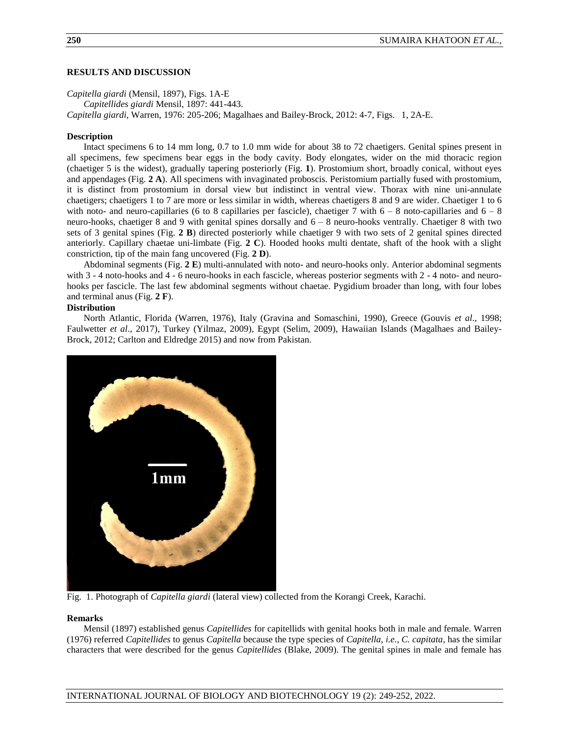### **RESULTS AND DISCUSSION**

*Capitella giardi* (Mensil, 1897), Figs. 1A-E *Capitellides giardi* Mensil, 1897: 441-443. *Capitella giardi*, Warren, 1976: 205-206; Magalhaes and Bailey-Brock, 2012: 4-7, Figs. 1, 2A-E.

### **Description**

Intact specimens 6 to 14 mm long, 0.7 to 1.0 mm wide for about 38 to 72 chaetigers. Genital spines present in all specimens, few specimens bear eggs in the body cavity. Body elongates, wider on the mid thoracic region (chaetiger 5 is the widest), gradually tapering posteriorly (Fig. **1**). Prostomium short, broadly conical, without eyes and appendages (Fig. **2 A**). All specimens with invaginated proboscis. Peristomium partially fused with prostomium, it is distinct from prostomium in dorsal view but indistinct in ventral view. Thorax with nine uni-annulate chaetigers; chaetigers 1 to 7 are more or less similar in width, whereas chaetigers 8 and 9 are wider. Chaetiger 1 to 6 with noto- and neuro-capillaries (6 to 8 capillaries per fascicle), chaetiger 7 with  $6 - 8$  noto-capillaries and  $6 - 8$ neuro-hooks, chaetiger 8 and 9 with genital spines dorsally and 6 – 8 neuro-hooks ventrally. Chaetiger 8 with two sets of 3 genital spines (Fig. **2 B**) directed posteriorly while chaetiger 9 with two sets of 2 genital spines directed anteriorly. Capillary chaetae uni-limbate (Fig. **2 C**). Hooded hooks multi dentate, shaft of the hook with a slight constriction, tip of the main fang uncovered (Fig. **2 D**).

Abdominal segments (Fig. **2 E**) multi-annulated with noto- and neuro-hooks only. Anterior abdominal segments with 3 - 4 noto-hooks and 4 - 6 neuro-hooks in each fascicle, whereas posterior segments with 2 - 4 noto- and neurohooks per fascicle. The last few abdominal segments without chaetae. Pygidium broader than long, with four lobes and terminal anus (Fig. **2 F**).

### **Distribution**

North Atlantic, Florida (Warren, 1976), Italy (Gravina and Somaschini, 1990), Greece (Gouvis *et al*., 1998; Faulwetter *et al*., 2017), Turkey (Yilmaz, 2009), Egypt (Selim, 2009), Hawaiian Islands (Magalhaes and Bailey-Brock, 2012; Carlton and Eldredge 2015) and now from Pakistan.



Fig. 1. Photograph of *Capitella giardi* (lateral view) collected from the Korangi Creek, Karachi.

#### **Remarks**

Mensil (1897) established genus *Capitellides* for capitellids with genital hooks both in male and female. Warren (1976) referred *Capitellides* to genus *Capitella* because the type species of *Capitella*, *i.e., C. capitata*, has the similar characters that were described for the genus *Capitellides* (Blake, 2009). The genital spines in male and female has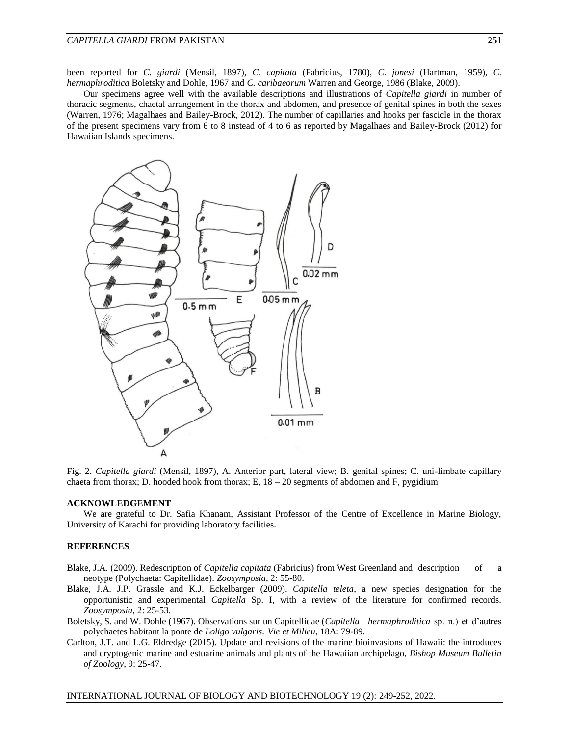been reported for *C. giardi* (Mensil, 1897), *C. capitata* (Fabricius, 1780), *C. jonesi* (Hartman, 1959), *C. hermaphroditica* Boletsky and Dohle, 1967 and *C. caribaeorum* Warren and George, 1986 (Blake, 2009).

Our specimens agree well with the available descriptions and illustrations of *Capitella giardi* in number of thoracic segments, chaetal arrangement in the thorax and abdomen, and presence of genital spines in both the sexes (Warren, 1976; Magalhaes and Bailey-Brock, 2012). The number of capillaries and hooks per fascicle in the thorax of the present specimens vary from 6 to 8 instead of 4 to 6 as reported by Magalhaes and Bailey-Brock (2012) for Hawaiian Islands specimens.



Fig. 2. *Capitella giardi* (Mensil, 1897), A. Anterior part, lateral view; B. genital spines; C. uni-limbate capillary chaeta from thorax; D. hooded hook from thorax; E,  $18 - 20$  segments of abdomen and F, pygidium

#### **ACKNOWLEDGEMENT**

We are grateful to Dr. Safia Khanam, Assistant Professor of the Centre of Excellence in Marine Biology, University of Karachi for providing laboratory facilities.

#### **REFERENCES**

- Blake, J.A. (2009). Redescription of *Capitella capitata* (Fabricius) from West Greenland and description of a neotype (Polychaeta: Capitellidae). *Zoosymposia*, 2: 55-80.
- Blake, J.A. J.P. Grassle and K.J. Eckelbarger (2009). *Capitella teleta*, a new species designation for the opportunistic and experimental *Capitella* Sp. I, with a review of the literature for confirmed records. *Zoosymposia*, 2: 25-53.
- Boletsky, S. and W. Dohle (1967). Observations sur un Capitellidae (*Capitella hermaphroditica* sp. n.) et d'autres polychaetes habitant la ponte de *Loligo vulgaris*. *Vie et Milieu*, 18A: 79-89.
- Carlton, J.T. and L.G. Eldredge (2015). Update and revisions of the marine bioinvasions of Hawaii: the introduces and cryptogenic marine and estuarine animals and plants of the Hawaiian archipelago, *Bishop Museum Bulletin of Zoology*, 9: 25-47.